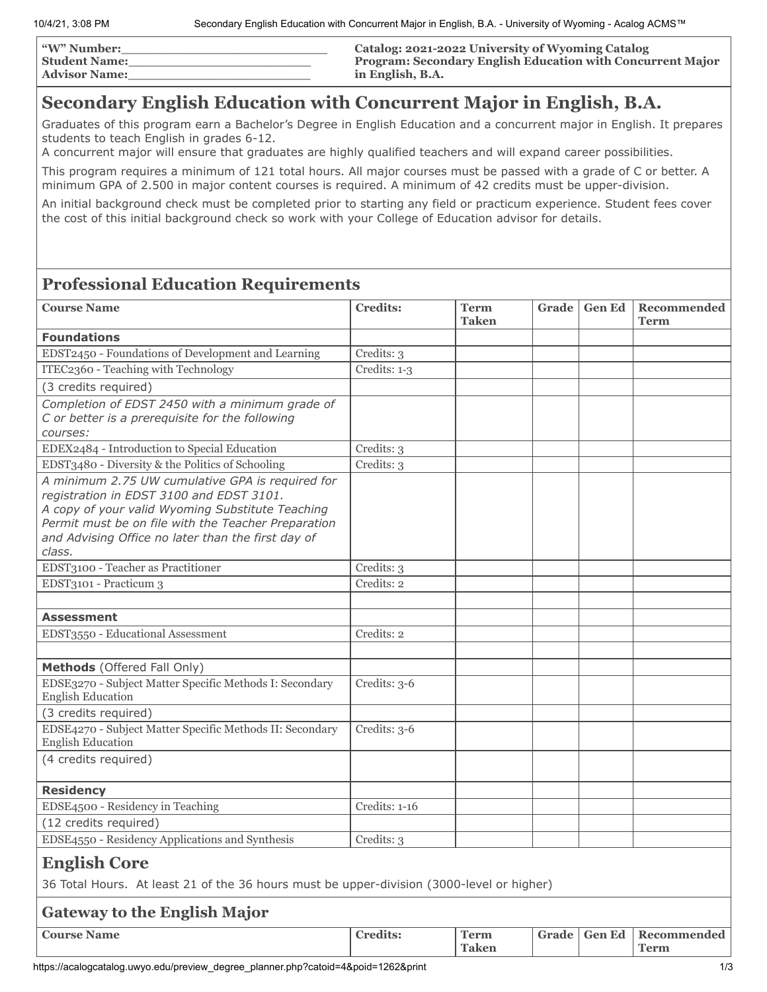| <b>W" Number:</b>    | Catalog: 2021-2022 University of Wyoming Catalog                  |
|----------------------|-------------------------------------------------------------------|
| <b>Student Name:</b> | <b>Program: Secondary English Education with Concurrent Major</b> |
| <b>Advisor Name:</b> | in English, B.A.                                                  |

# **Secondary English Education with Concurrent Major in English, B.A.**

Graduates of this program earn a Bachelor's Degree in English Education and a concurrent major in English. It prepares students to teach English in grades 6-12.

A concurrent major will ensure that graduates are highly qualified teachers and will expand career possibilities.

This program requires a minimum of 121 total hours. All major courses must be passed with a grade of C or better. A minimum GPA of 2.500 in major content courses is required. A minimum of 42 credits must be upper-division.

An initial background check must be completed prior to starting any field or practicum experience. Student fees cover the cost of this initial background check so work with your College of Education advisor for details.

## **Professional Education Requirements**

| <b>Course Name</b>                                                                                                                                                                                                                                                      | <b>Credits:</b> | <b>Term</b><br>Taken        |       | Grade   Gen Ed | Recommended<br><b>Term</b> |
|-------------------------------------------------------------------------------------------------------------------------------------------------------------------------------------------------------------------------------------------------------------------------|-----------------|-----------------------------|-------|----------------|----------------------------|
| <b>Foundations</b>                                                                                                                                                                                                                                                      |                 |                             |       |                |                            |
| EDST2450 - Foundations of Development and Learning                                                                                                                                                                                                                      | Credits: 3      |                             |       |                |                            |
| ITEC2360 - Teaching with Technology                                                                                                                                                                                                                                     | Credits: 1-3    |                             |       |                |                            |
| (3 credits required)                                                                                                                                                                                                                                                    |                 |                             |       |                |                            |
| Completion of EDST 2450 with a minimum grade of<br>C or better is a prerequisite for the following<br>courses:                                                                                                                                                          |                 |                             |       |                |                            |
| EDEX2484 - Introduction to Special Education                                                                                                                                                                                                                            | Credits: 3      |                             |       |                |                            |
| EDST3480 - Diversity & the Politics of Schooling                                                                                                                                                                                                                        | Credits: 3      |                             |       |                |                            |
| A minimum 2.75 UW cumulative GPA is required for<br>registration in EDST 3100 and EDST 3101.<br>A copy of your valid Wyoming Substitute Teaching<br>Permit must be on file with the Teacher Preparation<br>and Advising Office no later than the first day of<br>class. |                 |                             |       |                |                            |
| EDST3100 - Teacher as Practitioner                                                                                                                                                                                                                                      | Credits: 3      |                             |       |                |                            |
| EDST3101 - Practicum 3                                                                                                                                                                                                                                                  | Credits: 2      |                             |       |                |                            |
|                                                                                                                                                                                                                                                                         |                 |                             |       |                |                            |
| <b>Assessment</b>                                                                                                                                                                                                                                                       |                 |                             |       |                |                            |
| EDST3550 - Educational Assessment                                                                                                                                                                                                                                       | Credits: 2      |                             |       |                |                            |
|                                                                                                                                                                                                                                                                         |                 |                             |       |                |                            |
| Methods (Offered Fall Only)                                                                                                                                                                                                                                             |                 |                             |       |                |                            |
| EDSE3270 - Subject Matter Specific Methods I: Secondary<br><b>English Education</b>                                                                                                                                                                                     | Credits: 3-6    |                             |       |                |                            |
| (3 credits required)                                                                                                                                                                                                                                                    |                 |                             |       |                |                            |
| EDSE4270 - Subject Matter Specific Methods II: Secondary<br><b>English Education</b>                                                                                                                                                                                    | Credits: 3-6    |                             |       |                |                            |
| (4 credits required)                                                                                                                                                                                                                                                    |                 |                             |       |                |                            |
| <b>Residency</b>                                                                                                                                                                                                                                                        |                 |                             |       |                |                            |
| EDSE4500 - Residency in Teaching                                                                                                                                                                                                                                        | Credits: 1-16   |                             |       |                |                            |
| (12 credits required)                                                                                                                                                                                                                                                   |                 |                             |       |                |                            |
| EDSE4550 - Residency Applications and Synthesis                                                                                                                                                                                                                         | Credits: 3      |                             |       |                |                            |
| <b>English Core</b>                                                                                                                                                                                                                                                     |                 |                             |       |                |                            |
| 36 Total Hours. At least 21 of the 36 hours must be upper-division (3000-level or higher)                                                                                                                                                                               |                 |                             |       |                |                            |
| <b>Gateway to the English Major</b>                                                                                                                                                                                                                                     |                 |                             |       |                |                            |
| <b>Course Name</b>                                                                                                                                                                                                                                                      | <b>Credits:</b> | <b>Term</b><br><b>Taken</b> | Grade | <b>Gen Ed</b>  | Recommended<br><b>Term</b> |

https://acalogcatalog.uwyo.edu/preview\_degree\_planner.php?catoid=4&poid=1262&print 1/3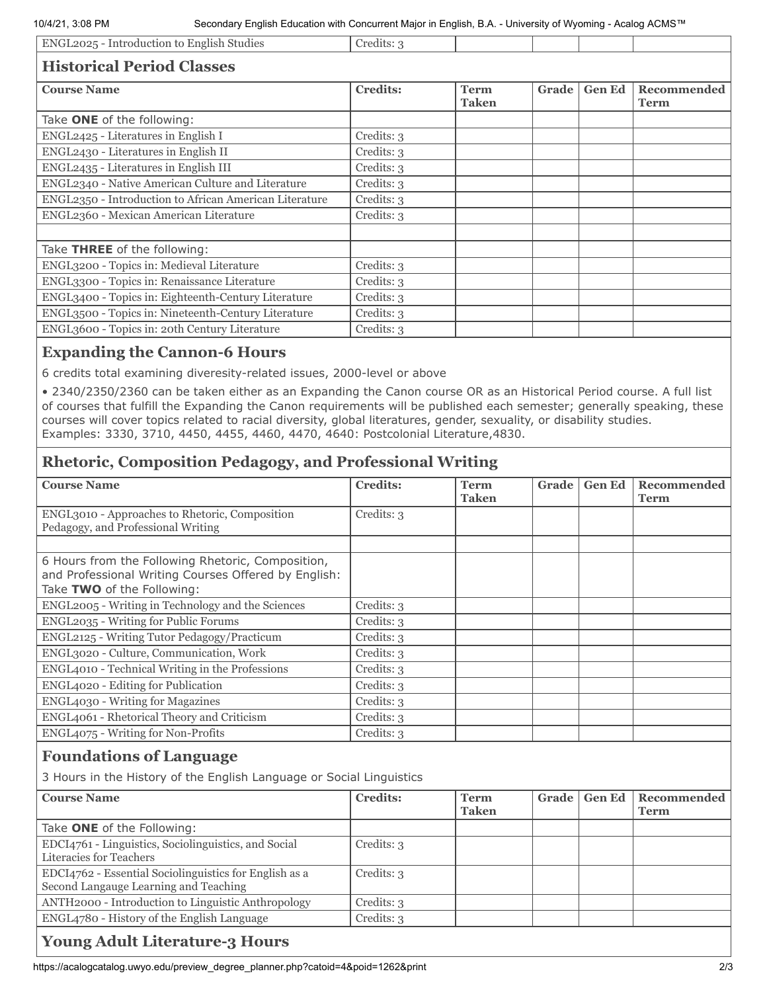10/4/21, 3:08 PM Secondary English Education with Concurrent Major in English, B.A. - University of Wyoming - Acalog ACMS™

| ENGL2025 - Introduction to English Studies             | Credits: 3      |                             |       |               |                     |
|--------------------------------------------------------|-----------------|-----------------------------|-------|---------------|---------------------|
| <b>Historical Period Classes</b>                       |                 |                             |       |               |                     |
| <b>Course Name</b>                                     | <b>Credits:</b> | <b>Term</b><br><b>Taken</b> | Grade | <b>Gen Ed</b> | Recommended<br>Term |
| Take ONE of the following:                             |                 |                             |       |               |                     |
| ENGL2425 - Literatures in English I                    | Credits: 3      |                             |       |               |                     |
| ENGL2430 - Literatures in English II                   | Credits: 3      |                             |       |               |                     |
| ENGL2435 - Literatures in English III                  | Credits: 3      |                             |       |               |                     |
| ENGL2340 - Native American Culture and Literature      | Credits: 3      |                             |       |               |                     |
| ENGL2350 - Introduction to African American Literature | Credits: 3      |                             |       |               |                     |
| ENGL2360 - Mexican American Literature                 | Credits: 3      |                             |       |               |                     |
| Take THREE of the following:                           |                 |                             |       |               |                     |
| ENGL3200 - Topics in: Medieval Literature              | Credits: 3      |                             |       |               |                     |
| ENGL3300 - Topics in: Renaissance Literature           | Credits: 3      |                             |       |               |                     |
| ENGL3400 - Topics in: Eighteenth-Century Literature    | Credits: 3      |                             |       |               |                     |
| ENGL3500 - Topics in: Nineteenth-Century Literature    | Credits: 3      |                             |       |               |                     |

#### **Expanding the Cannon-6 Hours**

6 credits total examining diveresity-related issues, 2000-level or above

ENGL3600 - Topics in: 20th Century Literature Credits: 3

• 2340/2350/2360 can be taken either as an Expanding the Canon course OR as an Historical Period course. A full list of courses that fulfill the Expanding the Canon requirements will be published each semester; generally speaking, these courses will cover topics related to racial diversity, global literatures, gender, sexuality, or disability studies. Examples: 3330, 3710, 4450, 4455, 4460, 4470, 4640: Postcolonial Literature,4830.

#### **Rhetoric, Composition Pedagogy, and Professional Writing**

| <b>Course Name</b>                                                                                                                      | <b>Credits:</b> | <b>Term</b><br><b>Taken</b> | Grade | <b>Gen Ed</b> | Recommended<br><b>Term</b> |
|-----------------------------------------------------------------------------------------------------------------------------------------|-----------------|-----------------------------|-------|---------------|----------------------------|
| ENGL3010 - Approaches to Rhetoric, Composition<br>Pedagogy, and Professional Writing                                                    | Credits: 3      |                             |       |               |                            |
|                                                                                                                                         |                 |                             |       |               |                            |
| 6 Hours from the Following Rhetoric, Composition,<br>and Professional Writing Courses Offered by English:<br>Take TWO of the Following: |                 |                             |       |               |                            |
| ENGL2005 - Writing in Technology and the Sciences                                                                                       | Credits: 3      |                             |       |               |                            |
| ENGL2035 - Writing for Public Forums                                                                                                    | Credits: 3      |                             |       |               |                            |
| ENGL2125 - Writing Tutor Pedagogy/Practicum                                                                                             | Credits: 3      |                             |       |               |                            |
| ENGL3020 - Culture, Communication, Work                                                                                                 | Credits: 3      |                             |       |               |                            |
| ENGL4010 - Technical Writing in the Professions                                                                                         | Credits: 3      |                             |       |               |                            |
| ENGL4020 - Editing for Publication                                                                                                      | Credits: 3      |                             |       |               |                            |
| <b>ENGL4030 - Writing for Magazines</b>                                                                                                 | Credits: 3      |                             |       |               |                            |
| ENGL4061 - Rhetorical Theory and Criticism                                                                                              | Credits: 3      |                             |       |               |                            |
| ENGL4075 - Writing for Non-Profits                                                                                                      | Credits: 3      |                             |       |               |                            |

#### **Foundations of Language**

3 Hours in the History of the English Language or Social Linguistics

| <b>Course Name</b>                                                                              | <b>Credits:</b> | <b>Term</b>  | Grade   Gen Ed | Recommended |
|-------------------------------------------------------------------------------------------------|-----------------|--------------|----------------|-------------|
|                                                                                                 |                 | <b>Taken</b> |                | <b>Term</b> |
| Take ONE of the Following:                                                                      |                 |              |                |             |
| EDCI4761 - Linguistics, Sociolinguistics, and Social<br>Literacies for Teachers                 | Credits: 3      |              |                |             |
| EDCI4762 - Essential Sociolinguistics for English as a<br>Second Langauge Learning and Teaching | Credits: 3      |              |                |             |
| ANTH2000 - Introduction to Linguistic Anthropology                                              | Credits: 3      |              |                |             |
| ENGL4780 - History of the English Language                                                      | Credits: 3      |              |                |             |
|                                                                                                 |                 |              |                |             |

### **Young Adult Literature-3 Hours**